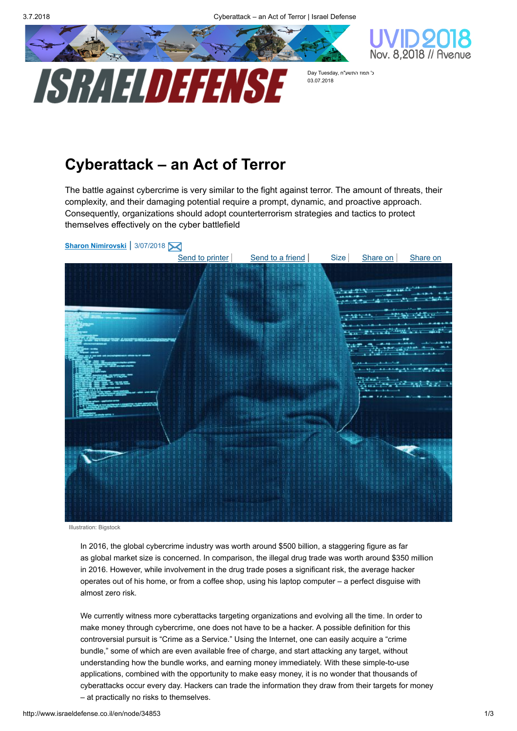



כ' תמוז התשע"ח ,Day Tuesday 03.07.2018

## Cyberattack – an Act of Terror

The battle against cybercrime is very similar to the fight against terror. The amount of threats, their complexity, and their damaging potential require a prompt, dynamic, and proactive approach. Consequently, organizations should adopt counterterrorism strategies and tactics to protect themselves effectively on the cyber battlefield



Illustration: Bigstock

In 2016, the global cybercrime industry was worth around \$500 billion, a staggering figure as far as global market size is concerned. In comparison, the illegal drug trade was worth around \$350 million in 2016. However, while involvement in the drug trade poses a significant risk, the average hacker operates out of his home, or from a coffee shop, using his laptop computer – a perfect disguise with almost zero risk.

We currently witness more cyberattacks targeting organizations and evolving all the time. In order to make money through cybercrime, one does not have to be a hacker. A possible definition for this controversial pursuit is "Crime as a Service." Using the Internet, one can easily acquire a "crime bundle," some of which are even available free of charge, and start attacking any target, without understanding how the bundle works, and earning money immediately. With these simple-to-use applications, combined with the opportunity to make easy money, it is no wonder that thousands of cyberattacks occur every day. Hackers can trade the information they draw from their targets for money – at practically no risks to themselves.

http://www.israeldefense.co.il/en/node/34853 1/3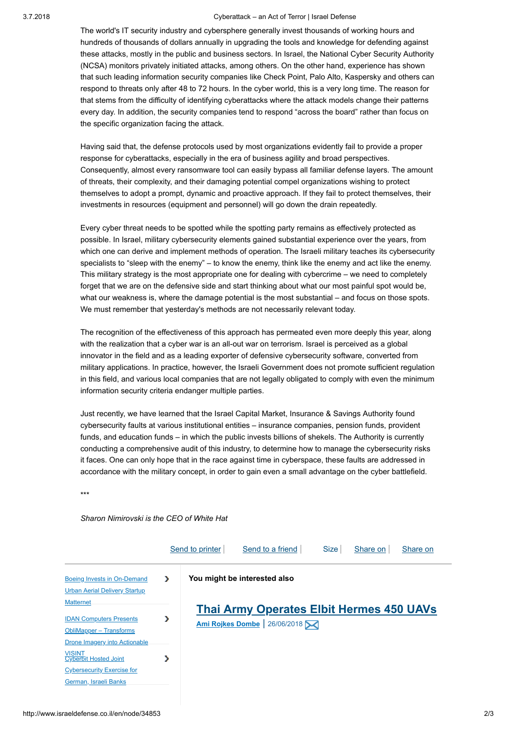## 3.7.2018 Cyberattack – an Act of Terror | Israel Defense

The world's IT security industry and cybersphere generally invest thousands of working hours and hundreds of thousands of dollars annually in upgrading the tools and knowledge for defending against these attacks, mostly in the public and business sectors. In Israel, the National Cyber Security Authority (NCSA) monitors privately initiated attacks, among others. On the other hand, experience has shown that such leading information security companies like Check Point, Palo Alto, Kaspersky and others can respond to threats only after 48 to 72 hours. In the cyber world, this is a very long time. The reason for that stems from the difficulty of identifying cyberattacks where the attack models change their patterns every day. In addition, the security companies tend to respond "across the board" rather than focus on the specific organization facing the attack.

Having said that, the defense protocols used by most organizations evidently fail to provide a proper response for cyberattacks, especially in the era of business agility and broad perspectives. Consequently, almost every ransomware tool can easily bypass all familiar defense layers. The amount of threats, their complexity, and their damaging potential compel organizations wishing to protect themselves to adopt a prompt, dynamic and proactive approach. If they fail to protect themselves, their investments in resources (equipment and personnel) will go down the drain repeatedly.

Every cyber threat needs to be spotted while the spotting party remains as effectively protected as possible. In Israel, military cybersecurity elements gained substantial experience over the years, from which one can derive and implement methods of operation. The Israeli military teaches its cybersecurity specialists to "sleep with the enemy" – to know the enemy, think like the enemy and act like the enemy. This military strategy is the most appropriate one for dealing with cybercrime – we need to completely forget that we are on the defensive side and start thinking about what our most painful spot would be, what our weakness is, where the damage potential is the most substantial – and focus on those spots. We must remember that yesterday's methods are not necessarily relevant today.

The recognition of the effectiveness of this approach has permeated even more deeply this year, along with the realization that a cyber war is an all-out war on terrorism. Israel is perceived as a global innovator in the field and as a leading exporter of defensive cybersecurity software, converted from military applications. In practice, however, the Israeli Government does not promote sufficient regulation in this field, and various local companies that are not legally obligated to comply with even the minimum information security criteria endanger multiple parties.

Just recently, we have learned that the Israel Capital Market, Insurance & Savings Authority found cybersecurity faults at various institutional entities – insurance companies, pension funds, provident funds, and education funds – in which the public invests billions of shekels. The Authority is currently conducting a comprehensive audit of this industry, to determine how to manage the cybersecurity risks it faces. One can only hope that in the race against time in cyberspace, these faults are addressed in accordance with the military concept, in order to gain even a small advantage on the cyber battlefield.

\*\*\*

## Sharon Nimirovski is the CEO of White Hat

|                                                                                                       |    | Send to printer | Send to a friend                                                                 | <b>Size</b> | Share on | Share on |
|-------------------------------------------------------------------------------------------------------|----|-----------------|----------------------------------------------------------------------------------|-------------|----------|----------|
| <b>Boeing Invests in On-Demand</b><br><b>Urban Aerial Delivery Startup</b>                            | У. |                 | You might be interested also                                                     |             |          |          |
| <b>Matternet</b><br><b>IDAN Computers Presents</b><br>ObliMapper - Transforms                         | >  |                 | <b>Thai Army Operates Elbit Hermes 450 UAVs</b><br>Ami Rojkes Dombe   26/06/2018 |             |          |          |
| Drone Imagery into Actionable<br>VISINT<br>Cyberbit Hosted Joint<br><b>Cybersecurity Exercise for</b> | >  |                 |                                                                                  |             |          |          |
| German, Israeli Banks                                                                                 |    |                 |                                                                                  |             |          |          |